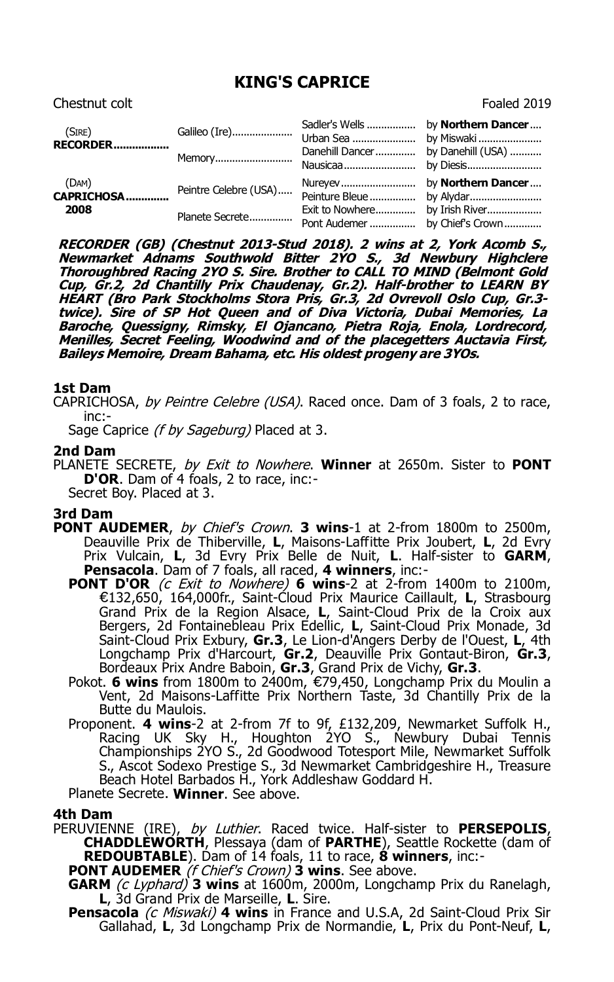# **KING'S CAPRICE**

| Chestnut colt               |                       |                             | Foaled 2019                      |
|-----------------------------|-----------------------|-----------------------------|----------------------------------|
| (SIRE)<br><b>RECORDER</b>   | Galileo (Ire)         | Sadler's Wells<br>Urban Sea | by Northern Dancer<br>by Miswaki |
|                             | Memory                | Danehill Dancer<br>Nausicaa | by Danehill (USA)<br>by Diesis   |
| (DAM)<br>CAPRICHOSA<br>2008 | Peintre Celebre (USA) | Nureyev<br>Peinture Bleue   | by Northern Dancer<br>by Alydar  |
|                             | Planete Secrete       | Exit to Nowhere             | by Irish River                   |

**RECORDER (GB) (Chestnut 2013-Stud 2018). 2 wins at 2, York Acomb S., Newmarket Adnams Southwold Bitter 2YO S., 3d Newbury Highclere Thoroughbred Racing 2YO S. Sire. Brother to CALL TO MIND (Belmont Gold Cup, Gr.2, 2d Chantilly Prix Chaudenay, Gr.2). Half-brother to LEARN BY HEART (Bro Park Stockholms Stora Pris, Gr.3, 2d Ovrevoll Oslo Cup, Gr.3 twice). Sire of SP Hot Queen and of Diva Victoria, Dubai Memories, La Baroche, Quessigny, Rimsky, El Ojancano, Pietra Roja, Enola, Lordrecord, Menilles, Secret Feeling, Woodwind and of the placegetters Auctavia First, Baileys Memoire, Dream Bahama, etc. His oldest progeny are 3YOs.**

## **1st Dam**

CAPRICHOSA, by Peintre Celebre (USA), Raced once. Dam of 3 foals, 2 to race, inc:-

Sage Caprice (f by Sageburg) Placed at 3.

#### **2nd Dam**

PLANETE SECRETE, by Exit to Nowhere. **Winner** at 2650m. Sister to **PONT D'OR**. Dam of 4 foals, 2 to race, inc:- Secret Boy. Placed at 3.

### **3rd Dam**

- **PONT AUDEMER**, by Chief's Crown. **3 wins**-1 at 2-from 1800m to 2500m, Deauville Prix de Thiberville, **L**, Maisons-Laffitte Prix Joubert, **L**, 2d Evry Prix Vulcain, **L**, 3d Evry Prix Belle de Nuit, **L**. Half-sister to **GARM**, **Pensacola**. Dam of 7 foals, all raced, **4 winners**, inc:-
	- **PONT D'OR** (c Exit to Nowhere) **6 wins**-2 at 2-from 1400m to 2100m, €132,650, 164,000fr., Saint-Cloud Prix Maurice Caillault, **L**, Strasbourg Grand Prix de la Region Alsace, **L**, Saint-Cloud Prix de la Croix aux Bergers, 2d Fontainebleau Prix Edellic, **L**, Saint-Cloud Prix Monade, 3d Saint-Cloud Prix Exbury, **Gr.3**, Le Lion-d'Angers Derby de l'Ouest, **L**, 4th Longchamp Prix d'Harcourt, **Gr.2**, Deauville Prix Gontaut-Biron, **Gr.3**, Bordeaux Prix Andre Baboin, **Gr.3**, Grand Prix de Vichy, **Gr.3**.
	- Pokot. **6 wins** from 1800m to 2400m, €79,450, Longchamp Prix du Moulin a Vent, 2d Maisons-Laffitte Prix Northern Taste, 3d Chantilly Prix de la Butte du Maulois.
	- Proponent. **4 wins**-2 at 2-from 7f to 9f, £132,209, Newmarket Suffolk H., Racing UK Sky H., Houghton 2YO S., Newbury Dubai Tennis Championships 2YO S., 2d Goodwood Totesport Mile, Newmarket Suffolk S., Ascot Sodexo Prestige S., 3d Newmarket Cambridgeshire H., Treasure Beach Hotel Barbados H., York Addleshaw Goddard H.

Planete Secrete. **Winner**. See above.

### **4th Dam**

PERUVIENNE (IRE), by Luthier. Raced twice. Half-sister to **PERSEPOLIS**, **CHADDLEWORTH**, Plessaya (dam of **PARTHE**), Seattle Rockette (dam of **REDOUBTABLE**). Dam of 14 foals, 11 to race, **8 winners**, inc:-

**PONT AUDEMER** (f Chief's Crown) **3 wins**. See above.

- **GARM** (c Lyphard) **3 wins** at 1600m, 2000m, Longchamp Prix du Ranelagh, **L**, 3d Grand Prix de Marseille, **L**. Sire.
- **Pensacola** (c Miswaki) 4 wins in France and U.S.A, 2d Saint-Cloud Prix Sir Gallahad, **L**, 3d Longchamp Prix de Normandie, **L**, Prix du Pont-Neuf, **L**,